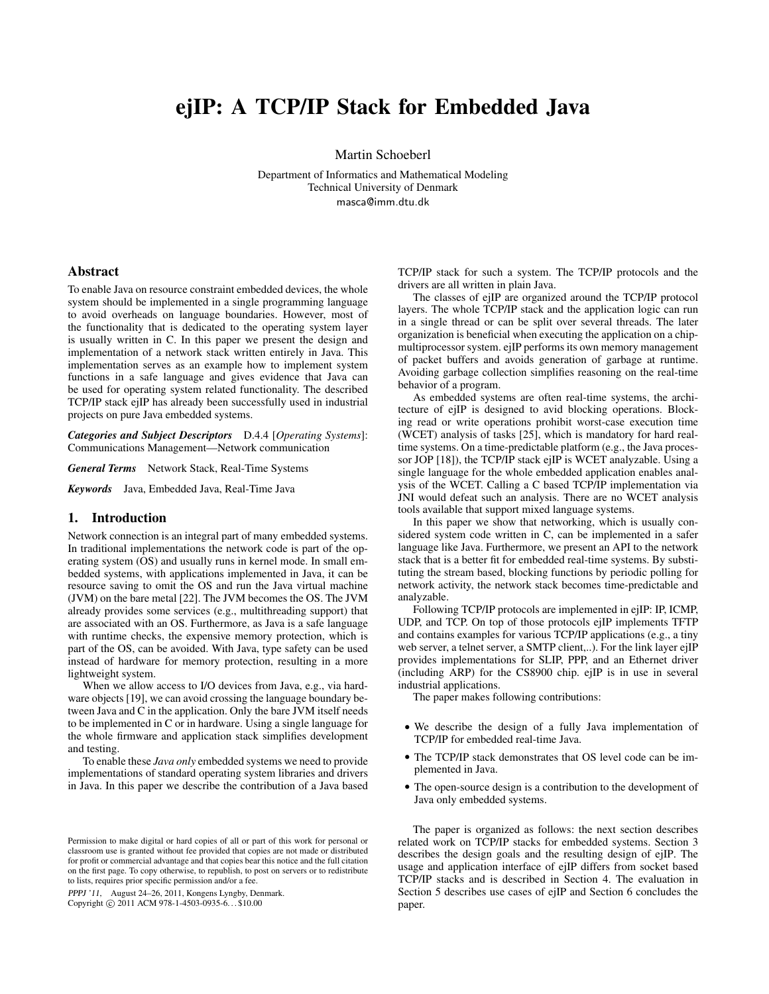# ejIP: A TCP/IP Stack for Embedded Java

Martin Schoeberl

Department of Informatics and Mathematical Modeling Technical University of Denmark masca@imm.dtu.dk

## Abstract

To enable Java on resource constraint embedded devices, the whole system should be implemented in a single programming language to avoid overheads on language boundaries. However, most of the functionality that is dedicated to the operating system layer is usually written in C. In this paper we present the design and implementation of a network stack written entirely in Java. This implementation serves as an example how to implement system functions in a safe language and gives evidence that Java can be used for operating system related functionality. The described TCP/IP stack ejIP has already been successfully used in industrial projects on pure Java embedded systems.

*Categories and Subject Descriptors* D.4.4 [*Operating Systems*]: Communications Management—Network communication

*General Terms* Network Stack, Real-Time Systems

*Keywords* Java, Embedded Java, Real-Time Java

# 1. Introduction

Network connection is an integral part of many embedded systems. In traditional implementations the network code is part of the operating system (OS) and usually runs in kernel mode. In small embedded systems, with applications implemented in Java, it can be resource saving to omit the OS and run the Java virtual machine (JVM) on the bare metal [22]. The JVM becomes the OS. The JVM already provides some services (e.g., multithreading support) that are associated with an OS. Furthermore, as Java is a safe language with runtime checks, the expensive memory protection, which is part of the OS, can be avoided. With Java, type safety can be used instead of hardware for memory protection, resulting in a more lightweight system.

When we allow access to I/O devices from Java, e.g., via hardware objects [19], we can avoid crossing the language boundary between Java and C in the application. Only the bare JVM itself needs to be implemented in C or in hardware. Using a single language for the whole firmware and application stack simplifies development and testing.

To enable these *Java only* embedded systems we need to provide implementations of standard operating system libraries and drivers in Java. In this paper we describe the contribution of a Java based

PPPJ '11, August 24–26, 2011, Kongens Lyngby, Denmark. Copyright © 2011 ACM 978-1-4503-0935-6... \$10.00

TCP/IP stack for such a system. The TCP/IP protocols and the drivers are all written in plain Java.

The classes of ejIP are organized around the TCP/IP protocol layers. The whole TCP/IP stack and the application logic can run in a single thread or can be split over several threads. The later organization is beneficial when executing the application on a chipmultiprocessor system. ejIP performs its own memory management of packet buffers and avoids generation of garbage at runtime. Avoiding garbage collection simplifies reasoning on the real-time behavior of a program.

As embedded systems are often real-time systems, the architecture of ejIP is designed to avid blocking operations. Blocking read or write operations prohibit worst-case execution time (WCET) analysis of tasks [25], which is mandatory for hard realtime systems. On a time-predictable platform (e.g., the Java processor JOP [18]), the TCP/IP stack ejIP is WCET analyzable. Using a single language for the whole embedded application enables analysis of the WCET. Calling a C based TCP/IP implementation via JNI would defeat such an analysis. There are no WCET analysis tools available that support mixed language systems.

In this paper we show that networking, which is usually considered system code written in C, can be implemented in a safer language like Java. Furthermore, we present an API to the network stack that is a better fit for embedded real-time systems. By substituting the stream based, blocking functions by periodic polling for network activity, the network stack becomes time-predictable and analyzable.

Following TCP/IP protocols are implemented in ejIP: IP, ICMP, UDP, and TCP. On top of those protocols ejIP implements TFTP and contains examples for various TCP/IP applications (e.g., a tiny web server, a telnet server, a SMTP client,..). For the link layer ejIP provides implementations for SLIP, PPP, and an Ethernet driver (including ARP) for the CS8900 chip. ejIP is in use in several industrial applications.

The paper makes following contributions:

- We describe the design of a fully Java implementation of TCP/IP for embedded real-time Java.
- The TCP/IP stack demonstrates that OS level code can be implemented in Java.
- The open-source design is a contribution to the development of Java only embedded systems.

The paper is organized as follows: the next section describes related work on TCP/IP stacks for embedded systems. Section 3 describes the design goals and the resulting design of ejIP. The usage and application interface of ejIP differs from socket based TCP/IP stacks and is described in Section 4. The evaluation in Section 5 describes use cases of ejIP and Section 6 concludes the paper.

Permission to make digital or hard copies of all or part of this work for personal or classroom use is granted without fee provided that copies are not made or distributed for profit or commercial advantage and that copies bear this notice and the full citation on the first page. To copy otherwise, to republish, to post on servers or to redistribute to lists, requires prior specific permission and/or a fee.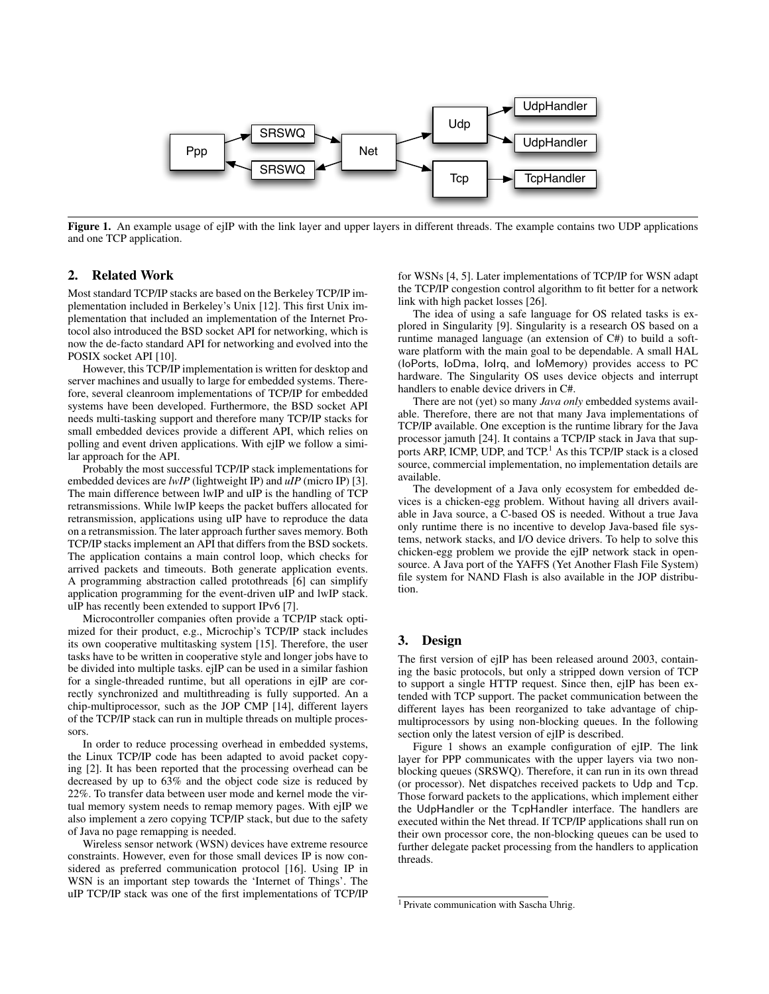

Figure 1. An example usage of ejIP with the link layer and upper layers in different threads. The example contains two UDP applications and one TCP application.

# 2. Related Work

Most standard TCP/IP stacks are based on the Berkeley TCP/IP implementation included in Berkeley's Unix [12]. This first Unix implementation that included an implementation of the Internet Protocol also introduced the BSD socket API for networking, which is now the de-facto standard API for networking and evolved into the POSIX socket API [10].

However, this TCP/IP implementation is written for desktop and server machines and usually to large for embedded systems. Therefore, several cleanroom implementations of TCP/IP for embedded systems have been developed. Furthermore, the BSD socket API needs multi-tasking support and therefore many TCP/IP stacks for small embedded devices provide a different API, which relies on polling and event driven applications. With ejIP we follow a similar approach for the API.

Probably the most successful TCP/IP stack implementations for embedded devices are *lwIP* (lightweight IP) and *uIP* (micro IP) [3]. The main difference between lwIP and uIP is the handling of TCP retransmissions. While lwIP keeps the packet buffers allocated for retransmission, applications using uIP have to reproduce the data on a retransmission. The later approach further saves memory. Both TCP/IP stacks implement an API that differs from the BSD sockets. The application contains a main control loop, which checks for arrived packets and timeouts. Both generate application events. A programming abstraction called protothreads [6] can simplify application programming for the event-driven uIP and lwIP stack. uIP has recently been extended to support IPv6 [7].

Microcontroller companies often provide a TCP/IP stack optimized for their product, e.g., Microchip's TCP/IP stack includes its own cooperative multitasking system [15]. Therefore, the user tasks have to be written in cooperative style and longer jobs have to be divided into multiple tasks. ejIP can be used in a similar fashion for a single-threaded runtime, but all operations in ejIP are correctly synchronized and multithreading is fully supported. An a chip-multiprocessor, such as the JOP CMP [14], different layers of the TCP/IP stack can run in multiple threads on multiple processors.

In order to reduce processing overhead in embedded systems, the Linux TCP/IP code has been adapted to avoid packet copying [2]. It has been reported that the processing overhead can be decreased by up to 63% and the object code size is reduced by 22%. To transfer data between user mode and kernel mode the virtual memory system needs to remap memory pages. With ejIP we also implement a zero copying TCP/IP stack, but due to the safety of Java no page remapping is needed.

Wireless sensor network (WSN) devices have extreme resource constraints. However, even for those small devices IP is now considered as preferred communication protocol [16]. Using IP in WSN is an important step towards the 'Internet of Things'. The uIP TCP/IP stack was one of the first implementations of TCP/IP

for WSNs [4, 5]. Later implementations of TCP/IP for WSN adapt the TCP/IP congestion control algorithm to fit better for a network link with high packet losses [26].

The idea of using a safe language for OS related tasks is explored in Singularity [9]. Singularity is a research OS based on a runtime managed language (an extension of C#) to build a software platform with the main goal to be dependable. A small HAL (IoPorts, IoDma, IoIrq, and IoMemory) provides access to PC hardware. The Singularity OS uses device objects and interrupt handlers to enable device drivers in C#.

There are not (yet) so many *Java only* embedded systems available. Therefore, there are not that many Java implementations of TCP/IP available. One exception is the runtime library for the Java processor jamuth [24]. It contains a TCP/IP stack in Java that supports ARP, ICMP, UDP, and TCP.<sup>1</sup> As this TCP/IP stack is a closed source, commercial implementation, no implementation details are available.

The development of a Java only ecosystem for embedded devices is a chicken-egg problem. Without having all drivers available in Java source, a C-based OS is needed. Without a true Java only runtime there is no incentive to develop Java-based file systems, network stacks, and I/O device drivers. To help to solve this chicken-egg problem we provide the ejIP network stack in opensource. A Java port of the YAFFS (Yet Another Flash File System) file system for NAND Flash is also available in the JOP distribution.

## 3. Design

The first version of ejIP has been released around 2003, containing the basic protocols, but only a stripped down version of TCP to support a single HTTP request. Since then, ejIP has been extended with TCP support. The packet communication between the different layes has been reorganized to take advantage of chipmultiprocessors by using non-blocking queues. In the following section only the latest version of ejIP is described.

Figure 1 shows an example configuration of ejIP. The link layer for PPP communicates with the upper layers via two nonblocking queues (SRSWQ). Therefore, it can run in its own thread (or processor). Net dispatches received packets to Udp and Tcp. Those forward packets to the applications, which implement either the UdpHandler or the TcpHandler interface. The handlers are executed within the Net thread. If TCP/IP applications shall run on their own processor core, the non-blocking queues can be used to further delegate packet processing from the handlers to application threads.

<sup>&</sup>lt;sup>1</sup> Private communication with Sascha Uhrig.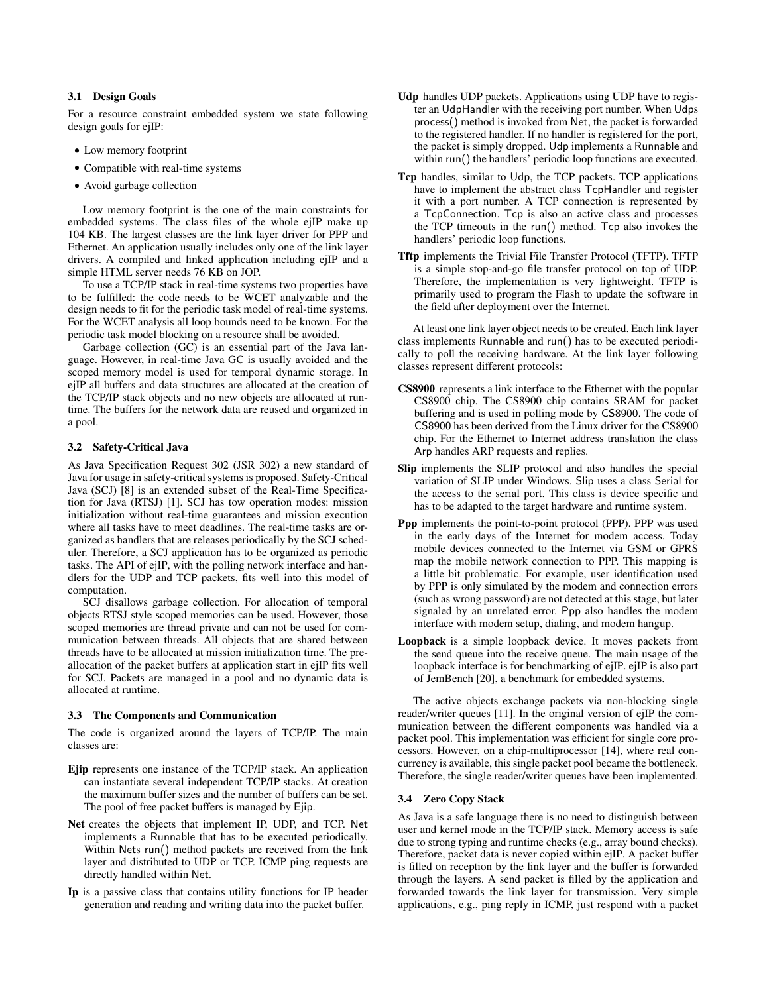## 3.1 Design Goals

For a resource constraint embedded system we state following design goals for ejIP:

- Low memory footprint
- Compatible with real-time systems
- Avoid garbage collection

Low memory footprint is the one of the main constraints for embedded systems. The class files of the whole ejIP make up 104 KB. The largest classes are the link layer driver for PPP and Ethernet. An application usually includes only one of the link layer drivers. A compiled and linked application including ejIP and a simple HTML server needs 76 KB on JOP.

To use a TCP/IP stack in real-time systems two properties have to be fulfilled: the code needs to be WCET analyzable and the design needs to fit for the periodic task model of real-time systems. For the WCET analysis all loop bounds need to be known. For the periodic task model blocking on a resource shall be avoided.

Garbage collection (GC) is an essential part of the Java language. However, in real-time Java GC is usually avoided and the scoped memory model is used for temporal dynamic storage. In ejIP all buffers and data structures are allocated at the creation of the TCP/IP stack objects and no new objects are allocated at runtime. The buffers for the network data are reused and organized in a pool.

## 3.2 Safety-Critical Java

As Java Specification Request 302 (JSR 302) a new standard of Java for usage in safety-critical systems is proposed. Safety-Critical Java (SCJ) [8] is an extended subset of the Real-Time Specification for Java (RTSJ) [1]. SCJ has tow operation modes: mission initialization without real-time guarantees and mission execution where all tasks have to meet deadlines. The real-time tasks are organized as handlers that are releases periodically by the SCJ scheduler. Therefore, a SCJ application has to be organized as periodic tasks. The API of ejIP, with the polling network interface and handlers for the UDP and TCP packets, fits well into this model of computation.

SCJ disallows garbage collection. For allocation of temporal objects RTSJ style scoped memories can be used. However, those scoped memories are thread private and can not be used for communication between threads. All objects that are shared between threads have to be allocated at mission initialization time. The preallocation of the packet buffers at application start in ejIP fits well for SCJ. Packets are managed in a pool and no dynamic data is allocated at runtime.

#### 3.3 The Components and Communication

The code is organized around the layers of TCP/IP. The main classes are:

- Ejip represents one instance of the TCP/IP stack. An application can instantiate several independent TCP/IP stacks. At creation the maximum buffer sizes and the number of buffers can be set. The pool of free packet buffers is managed by Ejip.
- Net creates the objects that implement IP, UDP, and TCP. Net implements a Runnable that has to be executed periodically. Within Nets run() method packets are received from the link layer and distributed to UDP or TCP. ICMP ping requests are directly handled within Net.
- Ip is a passive class that contains utility functions for IP header generation and reading and writing data into the packet buffer.
- Udp handles UDP packets. Applications using UDP have to register an UdpHandler with the receiving port number. When Udps process() method is invoked from Net, the packet is forwarded to the registered handler. If no handler is registered for the port, the packet is simply dropped. Udp implements a Runnable and within run() the handlers' periodic loop functions are executed.
- Tcp handles, similar to Udp, the TCP packets. TCP applications have to implement the abstract class TcpHandler and register it with a port number. A TCP connection is represented by a TcpConnection. Tcp is also an active class and processes the TCP timeouts in the run() method. Tcp also invokes the handlers' periodic loop functions.
- Tftp implements the Trivial File Transfer Protocol (TFTP). TFTP is a simple stop-and-go file transfer protocol on top of UDP. Therefore, the implementation is very lightweight. TFTP is primarily used to program the Flash to update the software in the field after deployment over the Internet.

At least one link layer object needs to be created. Each link layer class implements Runnable and run() has to be executed periodically to poll the receiving hardware. At the link layer following classes represent different protocols:

- CS8900 represents a link interface to the Ethernet with the popular CS8900 chip. The CS8900 chip contains SRAM for packet buffering and is used in polling mode by CS8900. The code of CS8900 has been derived from the Linux driver for the CS8900 chip. For the Ethernet to Internet address translation the class Arp handles ARP requests and replies.
- Slip implements the SLIP protocol and also handles the special variation of SLIP under Windows. Slip uses a class Serial for the access to the serial port. This class is device specific and has to be adapted to the target hardware and runtime system.
- Ppp implements the point-to-point protocol (PPP). PPP was used in the early days of the Internet for modem access. Today mobile devices connected to the Internet via GSM or GPRS map the mobile network connection to PPP. This mapping is a little bit problematic. For example, user identification used by PPP is only simulated by the modem and connection errors (such as wrong password) are not detected at this stage, but later signaled by an unrelated error. Ppp also handles the modem interface with modem setup, dialing, and modem hangup.
- Loopback is a simple loopback device. It moves packets from the send queue into the receive queue. The main usage of the loopback interface is for benchmarking of ejIP. ejIP is also part of JemBench [20], a benchmark for embedded systems.

The active objects exchange packets via non-blocking single reader/writer queues [11]. In the original version of ejIP the communication between the different components was handled via a packet pool. This implementation was efficient for single core processors. However, on a chip-multiprocessor [14], where real concurrency is available, this single packet pool became the bottleneck. Therefore, the single reader/writer queues have been implemented.

## 3.4 Zero Copy Stack

As Java is a safe language there is no need to distinguish between user and kernel mode in the TCP/IP stack. Memory access is safe due to strong typing and runtime checks (e.g., array bound checks). Therefore, packet data is never copied within ejIP. A packet buffer is filled on reception by the link layer and the buffer is forwarded through the layers. A send packet is filled by the application and forwarded towards the link layer for transmission. Very simple applications, e.g., ping reply in ICMP, just respond with a packet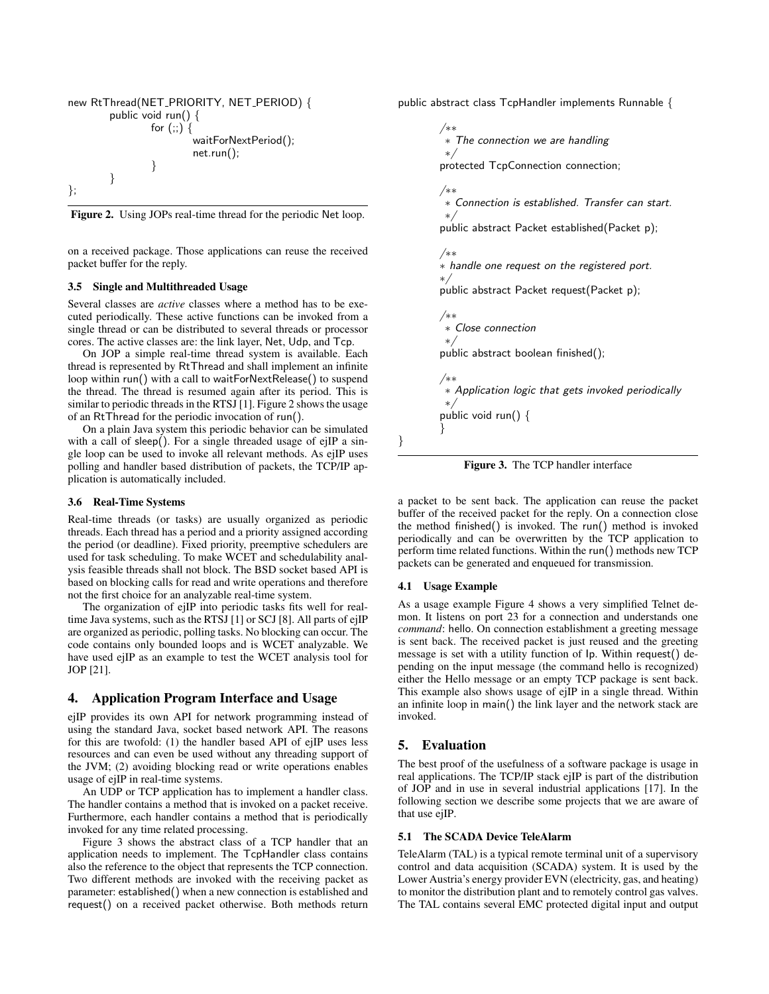```
new RtThread(NET_PRIORITY, NET_PERIOD) {
        public void run() {
                for (;;) {
                         waitForNextPeriod();
                         net.run();
                }
        }
};
```
Figure 2. Using JOPs real-time thread for the periodic Net loop.

on a received package. Those applications can reuse the received packet buffer for the reply.

#### 3.5 Single and Multithreaded Usage

Several classes are *active* classes where a method has to be executed periodically. These active functions can be invoked from a single thread or can be distributed to several threads or processor cores. The active classes are: the link layer, Net, Udp, and Tcp.

On JOP a simple real-time thread system is available. Each thread is represented by RtThread and shall implement an infinite loop within run() with a call to waitForNextRelease() to suspend the thread. The thread is resumed again after its period. This is similar to periodic threads in the RTSJ [1]. Figure 2 shows the usage of an RtThread for the periodic invocation of run().

On a plain Java system this periodic behavior can be simulated with a call of sleep(). For a single threaded usage of ejIP a single loop can be used to invoke all relevant methods. As ejIP uses polling and handler based distribution of packets, the TCP/IP application is automatically included.

#### 3.6 Real-Time Systems

Real-time threads (or tasks) are usually organized as periodic threads. Each thread has a period and a priority assigned according the period (or deadline). Fixed priority, preemptive schedulers are used for task scheduling. To make WCET and schedulability analysis feasible threads shall not block. The BSD socket based API is based on blocking calls for read and write operations and therefore not the first choice for an analyzable real-time system.

The organization of ejIP into periodic tasks fits well for realtime Java systems, such as the RTSJ [1] or SCJ [8]. All parts of ejIP are organized as periodic, polling tasks. No blocking can occur. The code contains only bounded loops and is WCET analyzable. We have used ejIP as an example to test the WCET analysis tool for JOP [21].

## 4. Application Program Interface and Usage

ejIP provides its own API for network programming instead of using the standard Java, socket based network API. The reasons for this are twofold: (1) the handler based API of ejIP uses less resources and can even be used without any threading support of the JVM; (2) avoiding blocking read or write operations enables usage of ejIP in real-time systems.

An UDP or TCP application has to implement a handler class. The handler contains a method that is invoked on a packet receive. Furthermore, each handler contains a method that is periodically invoked for any time related processing.

Figure 3 shows the abstract class of a TCP handler that an application needs to implement. The TcpHandler class contains also the reference to the object that represents the TCP connection. Two different methods are invoked with the receiving packet as parameter: established() when a new connection is established and request() on a received packet otherwise. Both methods return public abstract class TcpHandler implements Runnable {

/∗∗ ∗ The connection we are handling ∗/ protected TcpConnection connection; /∗∗ ∗ Connection is established. Transfer can start. ∗/ public abstract Packet established(Packet p);

/∗∗ ∗ handle one request on the registered port. ∗/ public abstract Packet request(Packet p);

/∗∗ ∗ Close connection ∗/ public abstract boolean finished(); /∗∗ ∗ Application logic that gets invoked periodically ∗/ public void run() { }

Figure 3. The TCP handler interface

a packet to be sent back. The application can reuse the packet buffer of the received packet for the reply. On a connection close the method finished() is invoked. The run() method is invoked periodically and can be overwritten by the TCP application to perform time related functions. Within the run() methods new TCP packets can be generated and enqueued for transmission.

#### 4.1 Usage Example

}

As a usage example Figure 4 shows a very simplified Telnet demon. It listens on port 23 for a connection and understands one *command*: hello. On connection establishment a greeting message is sent back. The received packet is just reused and the greeting message is set with a utility function of Ip. Within request() depending on the input message (the command hello is recognized) either the Hello message or an empty TCP package is sent back. This example also shows usage of ejIP in a single thread. Within an infinite loop in main() the link layer and the network stack are invoked.

## 5. Evaluation

The best proof of the usefulness of a software package is usage in real applications. The TCP/IP stack ejIP is part of the distribution of JOP and in use in several industrial applications [17]. In the following section we describe some projects that we are aware of that use ejIP.

#### 5.1 The SCADA Device TeleAlarm

TeleAlarm (TAL) is a typical remote terminal unit of a supervisory control and data acquisition (SCADA) system. It is used by the Lower Austria's energy provider EVN (electricity, gas, and heating) to monitor the distribution plant and to remotely control gas valves. The TAL contains several EMC protected digital input and output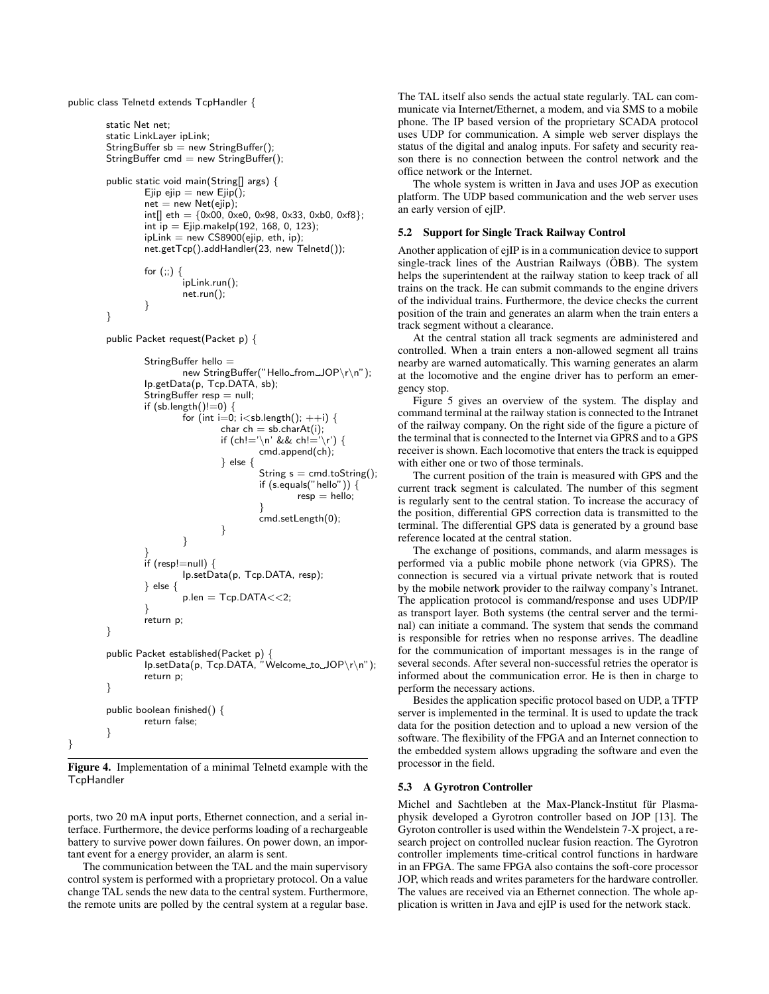```
public class Telnetd extends TcpHandler {
        static Net net;
        static LinkLayer ipLink;
        StringBuffer sb = new StringBuffer();StringBuffer \text{cmd} = \text{new StringBuffer});
        public static void main(String[] args) {
                 Ejip ejip = new Ejip();
                 net = new Net(ejip);int[] eth = {0x00, 0xe0, 0x98, 0x33, 0xb0, 0xf8};
                 int ip = Ejip.makelp(192, 168, 0, 123);
                 ipLink = new CS8900(ejip, eth, ip);net.getTcp().addHandler(23, new Telnetd());
                  for (;;) {
                           ipLink.run();
                          net.run();
                 }
        }
        public Packet request(Packet p) {
                 StringBuffer hello =
                          new StringBuffer("Hello_from_JOP\r\n");
                 Ip.getData(p, Tcp.DATA, sb);
                 StringBuffer resp = null;
                 if (\text{sb.length}()!=0) {
                          for (int i=0; i<sb.length(); ++i) {
                                   char ch = sb.charAt(i);if (ch!='\n' && ch!='\r') {
                                            cmd.append(ch);
                                   } else {
                                            String s = \text{cmd.toString});
                                            if (s.equals("hello")) {
                                                     resp = helio;}
                                            cmd.setLength(0);
                                   }
                          }
                  }
                 if (resp != null)Ip.setData(p, Tcp.DATA, resp);
                   } else {
                          p.length = Top.DATA < 2;
                  }
                 return p;
        }
        public Packet established(Packet p) {
                 Ip.setData(p, Tcp.DATA, "Welcome_to_JOP\r\n");
                 return p;
        }
        public boolean finished() {
                 return false;
        }
}
```
Figure 4. Implementation of a minimal Telnetd example with the TcpHandler

ports, two 20 mA input ports, Ethernet connection, and a serial interface. Furthermore, the device performs loading of a rechargeable battery to survive power down failures. On power down, an important event for a energy provider, an alarm is sent.

The communication between the TAL and the main supervisory control system is performed with a proprietary protocol. On a value change TAL sends the new data to the central system. Furthermore, the remote units are polled by the central system at a regular base. The TAL itself also sends the actual state regularly. TAL can communicate via Internet/Ethernet, a modem, and via SMS to a mobile phone. The IP based version of the proprietary SCADA protocol uses UDP for communication. A simple web server displays the status of the digital and analog inputs. For safety and security reason there is no connection between the control network and the office network or the Internet.

The whole system is written in Java and uses JOP as execution platform. The UDP based communication and the web server uses an early version of ejIP.

#### 5.2 Support for Single Track Railway Control

Another application of ejIP is in a communication device to support single-track lines of the Austrian Railways (ÖBB). The system helps the superintendent at the railway station to keep track of all trains on the track. He can submit commands to the engine drivers of the individual trains. Furthermore, the device checks the current position of the train and generates an alarm when the train enters a track segment without a clearance.

At the central station all track segments are administered and controlled. When a train enters a non-allowed segment all trains nearby are warned automatically. This warning generates an alarm at the locomotive and the engine driver has to perform an emergency stop.

Figure 5 gives an overview of the system. The display and command terminal at the railway station is connected to the Intranet of the railway company. On the right side of the figure a picture of the terminal that is connected to the Internet via GPRS and to a GPS receiver is shown. Each locomotive that enters the track is equipped with either one or two of those terminals.

The current position of the train is measured with GPS and the current track segment is calculated. The number of this segment is regularly sent to the central station. To increase the accuracy of the position, differential GPS correction data is transmitted to the terminal. The differential GPS data is generated by a ground base reference located at the central station.

The exchange of positions, commands, and alarm messages is performed via a public mobile phone network (via GPRS). The connection is secured via a virtual private network that is routed by the mobile network provider to the railway company's Intranet. The application protocol is command/response and uses UDP/IP as transport layer. Both systems (the central server and the terminal) can initiate a command. The system that sends the command is responsible for retries when no response arrives. The deadline for the communication of important messages is in the range of several seconds. After several non-successful retries the operator is informed about the communication error. He is then in charge to perform the necessary actions.

Besides the application specific protocol based on UDP, a TFTP server is implemented in the terminal. It is used to update the track data for the position detection and to upload a new version of the software. The flexibility of the FPGA and an Internet connection to the embedded system allows upgrading the software and even the processor in the field.

#### 5.3 A Gyrotron Controller

Michel and Sachtleben at the Max-Planck-Institut für Plasmaphysik developed a Gyrotron controller based on JOP [13]. The Gyroton controller is used within the Wendelstein 7-X project, a research project on controlled nuclear fusion reaction. The Gyrotron controller implements time-critical control functions in hardware in an FPGA. The same FPGA also contains the soft-core processor JOP, which reads and writes parameters for the hardware controller. The values are received via an Ethernet connection. The whole application is written in Java and ejIP is used for the network stack.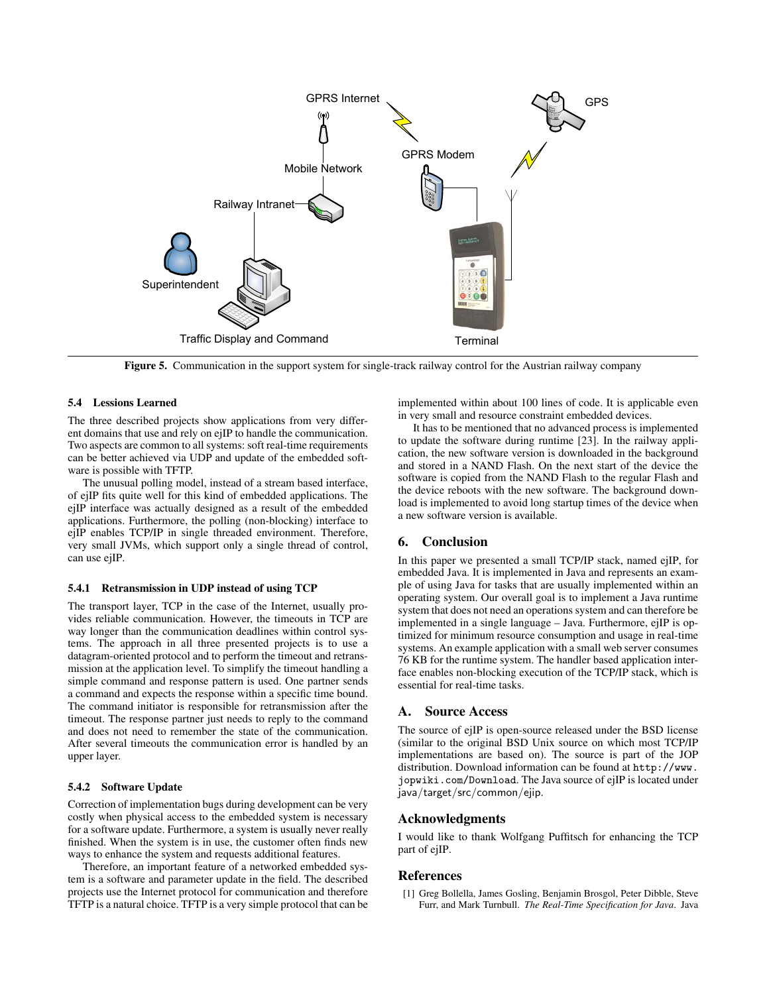

Figure 5. Communication in the support system for single-track railway control for the Austrian railway company

#### 5.4 Lessions Learned

The three described projects show applications from very different domains that use and rely on ejIP to handle the communication. Two aspects are common to all systems: soft real-time requirements can be better achieved via UDP and update of the embedded software is possible with TFTP.

The unusual polling model, instead of a stream based interface, of ejIP fits quite well for this kind of embedded applications. The ejIP interface was actually designed as a result of the embedded applications. Furthermore, the polling (non-blocking) interface to ejIP enables TCP/IP in single threaded environment. Therefore, very small JVMs, which support only a single thread of control, can use ejIP.

#### 5.4.1 Retransmission in UDP instead of using TCP

The transport layer, TCP in the case of the Internet, usually provides reliable communication. However, the timeouts in TCP are way longer than the communication deadlines within control systems. The approach in all three presented projects is to use a datagram-oriented protocol and to perform the timeout and retransmission at the application level. To simplify the timeout handling a simple command and response pattern is used. One partner sends a command and expects the response within a specific time bound. The command initiator is responsible for retransmission after the timeout. The response partner just needs to reply to the command and does not need to remember the state of the communication. After several timeouts the communication error is handled by an upper layer.

## 5.4.2 Software Update

Correction of implementation bugs during development can be very costly when physical access to the embedded system is necessary for a software update. Furthermore, a system is usually never really finished. When the system is in use, the customer often finds new ways to enhance the system and requests additional features.

Therefore, an important feature of a networked embedded system is a software and parameter update in the field. The described projects use the Internet protocol for communication and therefore TFTP is a natural choice. TFTP is a very simple protocol that can be

implemented within about 100 lines of code. It is applicable even in very small and resource constraint embedded devices.

It has to be mentioned that no advanced process is implemented to update the software during runtime [23]. In the railway application, the new software version is downloaded in the background and stored in a NAND Flash. On the next start of the device the software is copied from the NAND Flash to the regular Flash and the device reboots with the new software. The background download is implemented to avoid long startup times of the device when a new software version is available.

## 6. Conclusion

In this paper we presented a small TCP/IP stack, named ejIP, for embedded Java. It is implemented in Java and represents an example of using Java for tasks that are usually implemented within an operating system. Our overall goal is to implement a Java runtime system that does not need an operations system and can therefore be implemented in a single language – Java. Furthermore, ejIP is optimized for minimum resource consumption and usage in real-time systems. An example application with a small web server consumes 76 KB for the runtime system. The handler based application interface enables non-blocking execution of the TCP/IP stack, which is essential for real-time tasks.

## A. Source Access

The source of ejIP is open-source released under the BSD license (similar to the original BSD Unix source on which most TCP/IP implementations are based on). The source is part of the JOP distribution. Download information can be found at http://www. jopwiki.com/Download. The Java source of ejIP is located under java/target/src/common/ejip.

## Acknowledgments

I would like to thank Wolfgang Puffitsch for enhancing the TCP part of ejIP.

#### References

[1] Greg Bollella, James Gosling, Benjamin Brosgol, Peter Dibble, Steve Furr, and Mark Turnbull. *The Real-Time Specification for Java*. Java